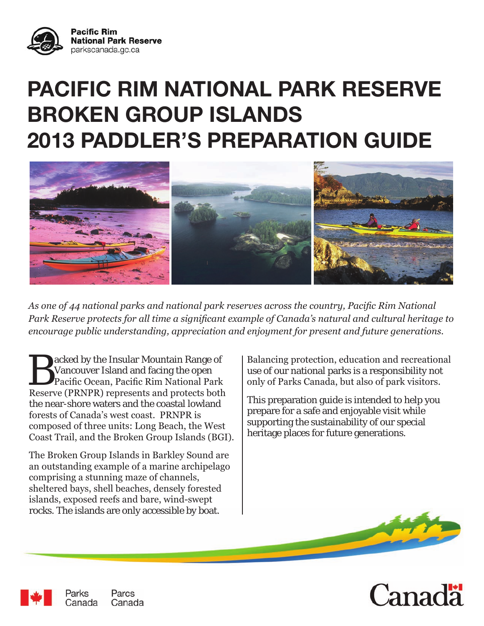

# **PACIFIC RIM NATIONAL PARK RESERVE BROKEN GROUP ISLANDS 2013 PADDLER'S PREPARATION GUIDE**



*As one of 44 national parks and national park reserves across the country, Pacific Rim National Park Reserve protects for all time a significant example of Canada's natural and cultural heritage to encourage public understanding, appreciation and enjoyment for present and future generations.*

Backed by the Insular Mountain Range of<br>Vancouver Island and facing the open<br>Pacific Ocean, Pacific Rim National Park<br>Reserve (BRNBR) represents and protects both Vancouver Island and facing the open Pacific Ocean, Pacific Rim National Park Reserve (PRNPR) represents and protects both the near-shore waters and the coastal lowland forests of Canada's west coast. PRNPR is composed of three units: Long Beach, the West Coast Trail, and the Broken Group Islands (BGI).

The Broken Group Islands in Barkley Sound are an outstanding example of a marine archipelago comprising a stunning maze of channels, sheltered bays, shell beaches, densely forested islands, exposed reefs and bare, wind-swept rocks. The islands are only accessible by boat.

Balancing protection, education and recreational use of our national parks is a responsibility not only of Parks Canada, but also of park visitors.

This preparation guide is intended to help you prepare for a safe and enjoyable visit while supporting the sustainability of our special heritage places for future generations.



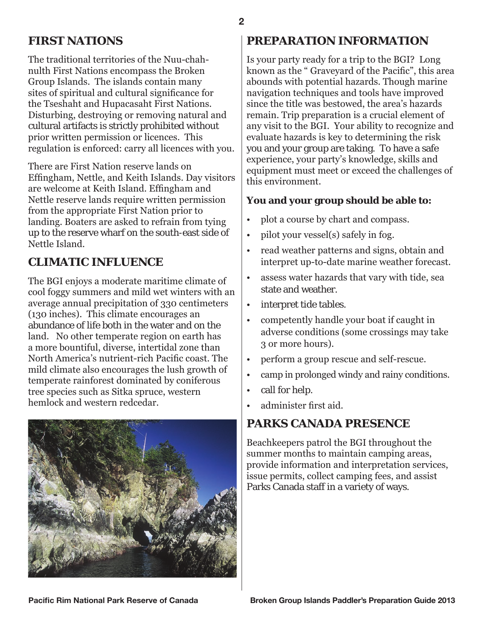### **FIRST NATIONS**

The traditional territories of the Nuu-chahnulth First Nations encompass the Broken Group Islands. The islands contain many sites of spiritual and cultural significance for the Tseshaht and Hupacasaht First Nations. Disturbing, destroying or removing natural and cultural artifacts is strictly prohibited without prior written permission or licences. This regulation is enforced: carry all licences with you.

There are First Nation reserve lands on Effingham, Nettle, and Keith Islands. Day visitors are welcome at Keith Island. Effingham and Nettle reserve lands require written permission from the appropriate First Nation prior to landing. Boaters are asked to refrain from tying up to the reserve wharf on the south-east side of Nettle Island.

# **CLIMATIC INFLUENCE**

The BGI enjoys a moderate maritime climate of cool foggy summers and mild wet winters with an average annual precipitation of 330 centimeters (130 inches). This climate encourages an abundance of life both in the water and on the land. No other temperate region on earth has a more bountiful, diverse, intertidal zone than North America's nutrient-rich Pacific coast. The mild climate also encourages the lush growth of temperate rainforest dominated by coniferous tree species such as Sitka spruce, western hemlock and western redcedar.



### **PREPARATION INFORMATION**

Is your party ready for a trip to the BGI? Long known as the " Graveyard of the Pacific", this area abounds with potential hazards. Though marine navigation techniques and tools have improved since the title was bestowed, the area's hazards remain. Trip preparation is a crucial element of any visit to the BGI. Your ability to recognize and evaluate hazards is key to determining the risk you and your group are taking. To have a safe experience, your party's knowledge, skills and equipment must meet or exceed the challenges of this environment.

#### **You and your group should be able to:**

- plot a course by chart and compass.
- pilot your vessel(s) safely in fog.
- read weather patterns and signs, obtain and interpret up-to-date marine weather forecast.
- assess water hazards that vary with tide, sea state and weather.
- interpret tide tables.
- competently handle your boat if caught in adverse conditions (some crossings may take 3 or more hours).
- perform a group rescue and self-rescue.
- camp in prolonged windy and rainy conditions.
- call for help.
- administer first aid.

## **PARKS CANADA PRESENCE**

Beachkeepers patrol the BGI throughout the summer months to maintain camping areas, provide information and interpretation services, issue permits, collect camping fees, and assist Parks Canada staff in a variety of ways.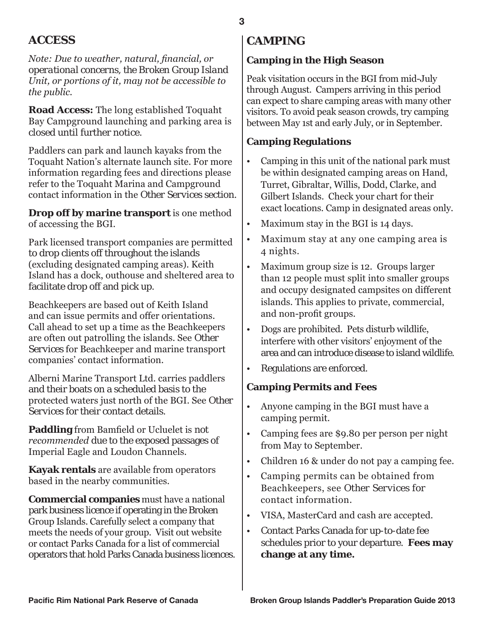# **ACCESS**

*Note: Due to weather, natural, financial, or operational concerns, the Broken Group Island Unit, or portions of it, may not be accessible to the public.*

**Road Access:** The long established Toquaht Bay Campground launching and parking area is closed until further notice.

Paddlers can park and launch kayaks from the Toquaht Nation's alternate launch site. For more information regarding fees and directions please refer to the Toquaht Marina and Campground contact information in the *Other Services* section.

**Drop off by marine transport** is one method of accessing the BGI.

Park licensed transport companies are permitted to drop clients off throughout the islands (excluding designated camping areas). Keith Island has a dock, outhouse and sheltered area to facilitate drop off and pick up.

Beachkeepers are based out of Keith Island and can issue permits and offer orientations. Call ahead to set up a time as the Beachkeepers are often out patrolling the islands. See *Other Services* for Beachkeeper and marine transport companies' contact information.

Alberni Marine Transport Ltd. carries paddlers and their boats on a scheduled basis to the protected waters just north of the BGI. See *Other Services* for their contact details.

**Paddling** from Bamfield or Ucluelet is *not recommended* due to the exposed passages of Imperial Eagle and Loudon Channels.

**Kayak rentals** are available from operators based in the nearby communities.

**Commercial companies** must have a national park business licence if operating in the Broken Group Islands. Carefully select a company that meets the needs of your group. Visit out website or contact Parks Canada for a list of commercial operators that hold Parks Canada business licences.

# **CAMPING**

### **Camping in the High Season**

Peak visitation occurs in the BGI from mid-July through August. Campers arriving in this period can expect to share camping areas with many other visitors. To avoid peak season crowds, try camping between May 1st and early July, or in September.

### **Camping Regulations**

- Camping in this unit of the national park must be within designated camping areas on Hand, Turret, Gibraltar, Willis, Dodd, Clarke, and Gilbert Islands. Check your chart for their exact locations. Camp in designated areas only.
- Maximum stay in the BGI is 14 days.
- Maximum stay at any one camping area is 4 nights.
- Maximum group size is 12. Groups larger than 12 people must split into smaller groups and occupy designated campsites on different islands. This applies to private, commercial, and non-profit groups.
- Dogs are prohibited. Pets disturb wildlife, interfere with other visitors' enjoyment of the area and can introduce disease to island wildlife.
- Regulations are enforced.

### **Camping Permits and Fees**

- Anyone camping in the BGI must have a camping permit.
- Camping fees are \$9.80 per person per night from May to September.
- Children 16 & under do not pay a camping fee.
- Camping permits can be obtained from Beachkeepers, see *Other Services* for contact information.
- VISA, MasterCard and cash are accepted.
- Contact Parks Canada for up-to-date fee schedules prior to your departure. **Fees may change at any time.**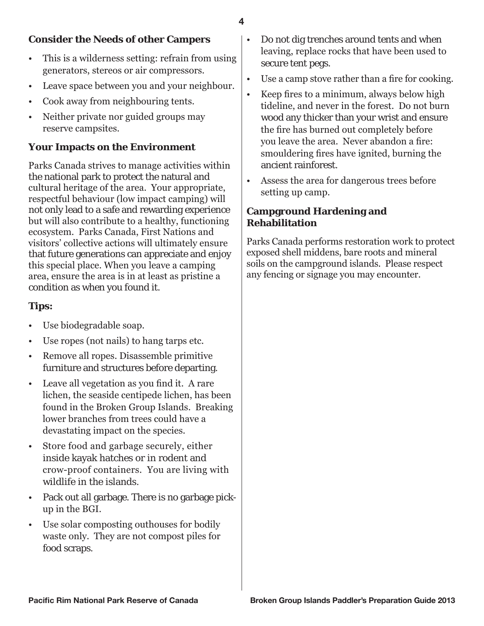#### **Consider the Needs of other Campers**

- This is a wilderness setting: refrain from using generators, stereos or air compressors.
- Leave space between you and your neighbour.
- Cook away from neighbouring tents.
- Neither private nor guided groups may reserve campsites.

#### **Your Impacts on the Environment**

Parks Canada strives to manage activities within the national park to protect the natural and cultural heritage of the area. Your appropriate, respectful behaviour (low impact camping) will not only lead to a safe and rewarding experience but will also contribute to a healthy, functioning ecosystem. Parks Canada, First Nations and visitors' collective actions will ultimately ensure that future generations can appreciate and enjoy this special place. When you leave a camping area, ensure the area is in at least as pristine a condition as when you found it.

#### **Tips:**

- Use biodegradable soap.
- Use ropes (not nails) to hang tarps etc.
- Remove all ropes. Disassemble primitive furniture and structures before departing.
- Leave all vegetation as you find it. A rare lichen, the seaside centipede lichen, has been found in the Broken Group Islands. Breaking lower branches from trees could have a devastating impact on the species.
- Store food and garbage securely, either inside kayak hatches or in rodent and crow-proof containers. You are living with wildlife in the islands.
- Pack out all garbage. There is no garbage pickup in the BGI.
- Use solar composting outhouses for bodily waste only. They are not compost piles for food scraps.
- Do not dig trenches around tents and when leaving, replace rocks that have been used to secure tent pegs.
- Use a camp stove rather than a fire for cooking.
- Keep fires to a minimum, always below high tideline, and never in the forest. Do not burn wood any thicker than your wrist and ensure the fire has burned out completely before you leave the area. Never abandon a fire: smouldering fires have ignited, burning the ancient rainforest.
- Assess the area for dangerous trees before setting up camp.

#### **Campground Hardening and Rehabilitation**

Parks Canada performs restoration work to protect exposed shell middens, bare roots and mineral soils on the campground islands. Please respect any fencing or signage you may encounter.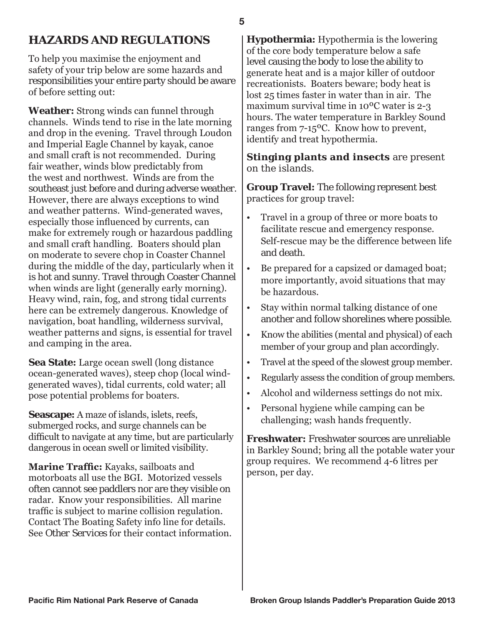## **HAZARDS AND REGULATIONS**

To help you maximise the enjoyment and safety of your trip below are some hazards and responsibilities your entire party should be aware of before setting out:

**Weather:** Strong winds can funnel through channels. Winds tend to rise in the late morning and drop in the evening. Travel through Loudon and Imperial Eagle Channel by kayak, canoe and small craft is not recommended. During fair weather, winds blow predictably from the west and northwest. Winds are from the southeast just before and during adverse weather. However, there are always exceptions to wind and weather patterns. Wind-generated waves, especially those influenced by currents, can make for extremely rough or hazardous paddling and small craft handling. Boaters should plan on moderate to severe chop in Coaster Channel during the middle of the day, particularly when it is hot and sunny. Travel through Coaster Channel when winds are light (generally early morning). Heavy wind, rain, fog, and strong tidal currents here can be extremely dangerous. Knowledge of navigation, boat handling, wilderness survival, weather patterns and signs, is essential for travel and camping in the area.

**Sea State:** Large ocean swell (long distance ocean-generated waves), steep chop (local windgenerated waves), tidal currents, cold water; all pose potential problems for boaters.

**Seascape:** A maze of islands, islets, reefs, submerged rocks, and surge channels can be difficult to navigate at any time, but are particularly dangerous in ocean swell or limited visibility.

**Marine Traffic:** Kayaks, sailboats and motorboats all use the BGI. Motorized vessels often cannot see paddlers nor are they visible on radar. Know your responsibilities. All marine traffic is subject to marine collision regulation. Contact The Boating Safety info line for details. See *Other Services* for their contact information. **Hypothermia:** Hypothermia is the lowering of the core body temperature below a safe level causing the body to lose the ability to generate heat and is a major killer of outdoor recreationists. Boaters beware; body heat is lost 25 times faster in water than in air. The maximum survival time in 10ºC water is 2-3 hours. The water temperature in Barkley Sound ranges from 7-15ºC. Know how to prevent, identify and treat hypothermia.

**Stinging plants and insects** are present on the islands.

**Group Travel:** The following represent best practices for group travel:

- Travel in a group of three or more boats to facilitate rescue and emergency response. Self-rescue may be the difference between life and death.
- Be prepared for a capsized or damaged boat; more importantly, avoid situations that may be hazardous.
- Stay within normal talking distance of one another and follow shorelines where possible.
- Know the abilities (mental and physical) of each member of your group and plan accordingly.
- Travel at the speed of the slowest group member.
- Regularly assess the condition of group members.
- Alcohol and wilderness settings do not mix.
- Personal hygiene while camping can be challenging; wash hands frequently.

**Freshwater:** Freshwater sources are unreliable in Barkley Sound; bring all the potable water your group requires. We recommend 4-6 litres per person, per day.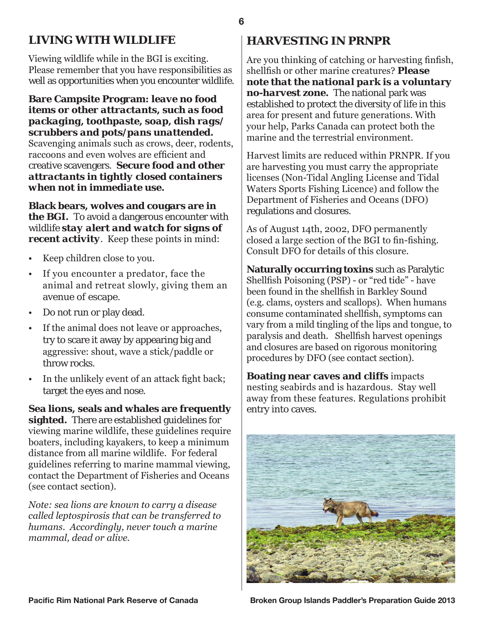### **LIVING WITH WILDLIFE**

Viewing wildlife while in the BGI is exciting. Please remember that you have responsibilities as well as opportunities when you encounter wildlife.

#### **Bare Campsite Program:** *leave no food items or other attractants, such as food packaging, toothpaste, soap, dish rags/ scrubbers and pots/pans unattended.*

Scavenging animals such as crows, deer, rodents, raccoons and even wolves are efficient and creative scavengers. *Secure food and other attractants in tightly closed containers when not in immediate use.*

**Black bears, wolves and cougars are in the BGI.** To avoid a dangerous encounter with wildlife *stay alert and watch for signs of recent activity*. Keep these points in mind:

- Keep children close to you.
- If you encounter a predator, face the animal and retreat slowly, giving them an avenue of escape.
- Do not run or play dead.
- If the animal does not leave or approaches, try to scare it away by appearing big and aggressive: shout, wave a stick/paddle or throw rocks.
- In the unlikely event of an attack fight back; target the eyes and nose.

**Sea lions, seals and whales are frequently sighted.** There are established guidelines for viewing marine wildlife, these guidelines require boaters, including kayakers, to keep a minimum distance from all marine wildlife. For federal guidelines referring to marine mammal viewing, contact the Department of Fisheries and Oceans (see contact section).

*Note: sea lions are known to carry a disease called leptospirosis that can be transferred to humans. Accordingly, never touch a marine mammal, dead or alive.*

### **HARVESTING IN PRNPR**

Are you thinking of catching or harvesting finfish, shellfish or other marine creatures? *Please note that the national park is a voluntary no-harvest zone.* The national park was established to protect the diversity of life in this area for present and future generations. With your help, Parks Canada can protect both the marine and the terrestrial environment.

Harvest limits are reduced within PRNPR. If you are harvesting you must carry the appropriate licenses (Non-Tidal Angling License and Tidal Waters Sports Fishing Licence) and follow the Department of Fisheries and Oceans (DFO) regulations and closures.

As of August 14th, 2002, DFO permanently closed a large section of the BGI to fin-fishing. Consult DFO for details of this closure.

**Naturally occurring toxins** such as Paralytic Shellfish Poisoning (PSP) - or "red tide" - have been found in the shellfish in Barkley Sound (e.g. clams, oysters and scallops). When humans consume contaminated shellfish, symptoms can vary from a mild tingling of the lips and tongue, to paralysis and death. Shellfish harvest openings and closures are based on rigorous monitoring procedures by DFO (see contact section).

**Boating near caves and cliffs** impacts nesting seabirds and is hazardous. Stay well away from these features. Regulations prohibit entry into caves.



**6**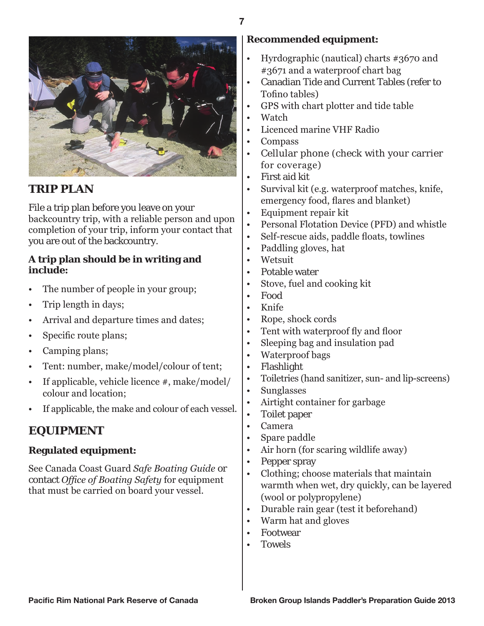

# **TRIP PLAN**

File a trip plan before you leave on your backcountry trip, with a reliable person and upon completion of your trip, inform your contact that you are out of the backcountry.

#### **A trip plan should be in writing and include:**

- The number of people in your group;
- Trip length in days;
- Arrival and departure times and dates;
- Specific route plans;
- Camping plans;
- Tent: number, make/model/colour of tent;
- If applicable, vehicle licence #, make/model/ colour and location;
- If applicable, the make and colour of each vessel.

## **EQUIPMENT**

#### **Regulated equipment:**

See Canada Coast Guard *Safe Boating Guide* or contact *Office of Boating Safety* for equipment that must be carried on board your vessel.

### **Recommended equipment:**

- Hyrdographic (nautical) charts #3670 and #3671 and a waterproof chart bag
- Canadian Tide and Current Tables (refer to Tofino tables)
- GPS with chart plotter and tide table
- Watch
- Licenced marine VHF Radio
- Compass
- Cellular phone (check with your carrier for coverage)
- First aid kit
- Survival kit (e.g. waterproof matches, knife, emergency food, flares and blanket)
- Equipment repair kit
- Personal Flotation Device (PFD) and whistle
- Self-rescue aids, paddle floats, towlines
- Paddling gloves, hat
- Wetsuit
- Potable water
- Stove, fuel and cooking kit
- Food
- Knife
- Rope, shock cords
- Tent with waterproof fly and floor
- Sleeping bag and insulation pad
- Waterproof bags
- Flashlight
- Toiletries (hand sanitizer, sun- and lip-screens)
- Sunglasses
- Airtight container for garbage
- Toilet paper
- Camera
- Spare paddle
- Air horn (for scaring wildlife away)
- Pepper spray
- Clothing; choose materials that maintain warmth when wet, dry quickly, can be layered (wool or polypropylene)
- Durable rain gear (test it beforehand)
- Warm hat and gloves
- Footwear
- **Towels**